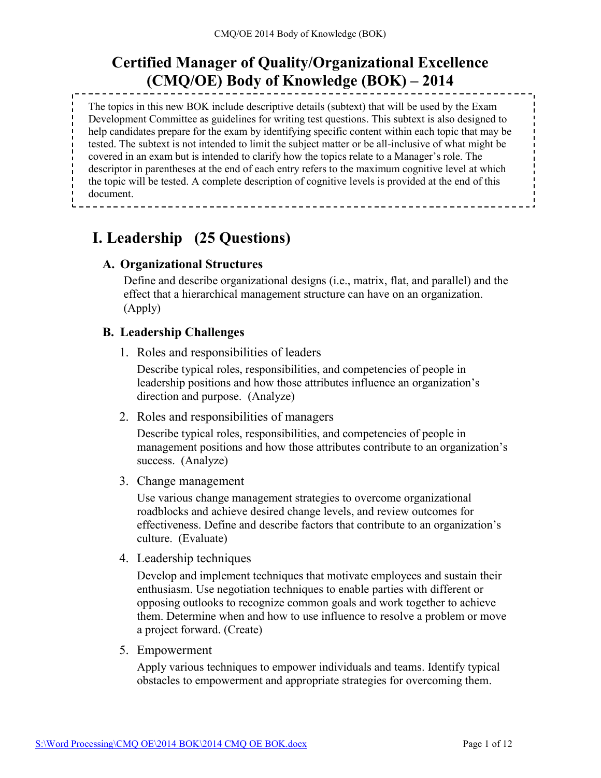# **Certified Manager of Quality/Organizational Excellence (CMQ/OE) Body of Knowledge (BOK) – 2014**

The topics in this new BOK include descriptive details (subtext) that will be used by the Exam Development Committee as guidelines for writing test questions. This subtext is also designed to help candidates prepare for the exam by identifying specific content within each topic that may be tested. The subtext is not intended to limit the subject matter or be all-inclusive of what might be covered in an exam but is intended to clarify how the topics relate to a Manager's role. The descriptor in parentheses at the end of each entry refers to the maximum cognitive level at which the topic will be tested. A complete description of cognitive levels is provided at the end of this document.

# **I. Leadership (25 Questions)**

### **A. Organizational Structures**

Define and describe organizational designs (i.e., matrix, flat, and parallel) and the effect that a hierarchical management structure can have on an organization. (Apply)

### **B. Leadership Challenges**

1. Roles and responsibilities of leaders

Describe typical roles, responsibilities, and competencies of people in leadership positions and how those attributes influence an organization's direction and purpose. (Analyze)

2. Roles and responsibilities of managers

Describe typical roles, responsibilities, and competencies of people in management positions and how those attributes contribute to an organization's success. (Analyze)

3. Change management

Use various change management strategies to overcome organizational roadblocks and achieve desired change levels, and review outcomes for effectiveness. Define and describe factors that contribute to an organization's culture. (Evaluate)

4. Leadership techniques

Develop and implement techniques that motivate employees and sustain their enthusiasm. Use negotiation techniques to enable parties with different or opposing outlooks to recognize common goals and work together to achieve them. Determine when and how to use influence to resolve a problem or move a project forward. (Create)

5. Empowerment

Apply various techniques to empower individuals and teams. Identify typical obstacles to empowerment and appropriate strategies for overcoming them.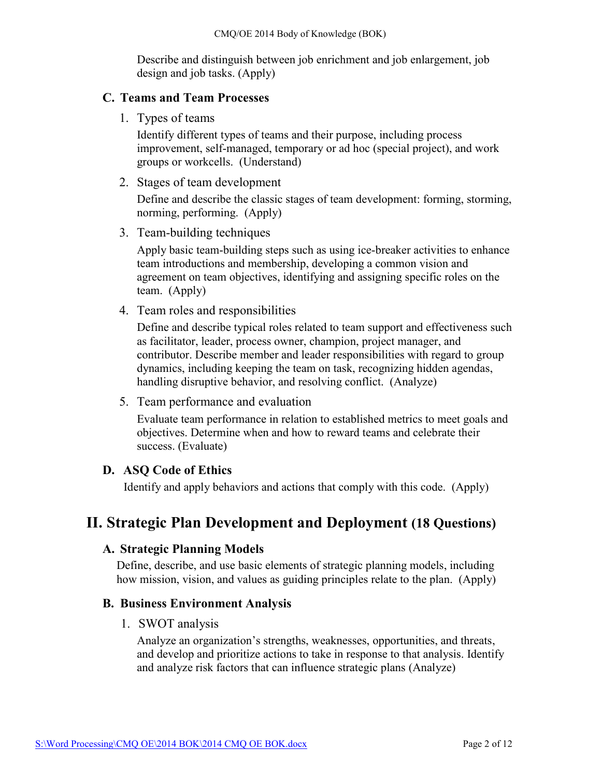Describe and distinguish between job enrichment and job enlargement, job design and job tasks. (Apply)

#### **C. Teams and Team Processes**

1. Types of teams

Identify different types of teams and their purpose, including process improvement, self-managed, temporary or ad hoc (special project), and work groups or workcells. (Understand)

2. Stages of team development

Define and describe the classic stages of team development: forming, storming, norming, performing. (Apply)

3. Team-building techniques

Apply basic team-building steps such as using ice-breaker activities to enhance team introductions and membership, developing a common vision and agreement on team objectives, identifying and assigning specific roles on the team. (Apply)

4. Team roles and responsibilities

Define and describe typical roles related to team support and effectiveness such as facilitator, leader, process owner, champion, project manager, and contributor. Describe member and leader responsibilities with regard to group dynamics, including keeping the team on task, recognizing hidden agendas, handling disruptive behavior, and resolving conflict. (Analyze)

5. Team performance and evaluation

Evaluate team performance in relation to established metrics to meet goals and objectives. Determine when and how to reward teams and celebrate their success. (Evaluate)

### **D. ASQ Code of Ethics**

Identify and apply behaviors and actions that comply with this code. (Apply)

# **II. Strategic Plan Development and Deployment (18 Questions)**

#### **A. Strategic Planning Models**

Define, describe, and use basic elements of strategic planning models, including how mission, vision, and values as guiding principles relate to the plan. (Apply)

#### **B. Business Environment Analysis**

1. SWOT analysis

Analyze an organization's strengths, weaknesses, opportunities, and threats, and develop and prioritize actions to take in response to that analysis. Identify and analyze risk factors that can influence strategic plans (Analyze)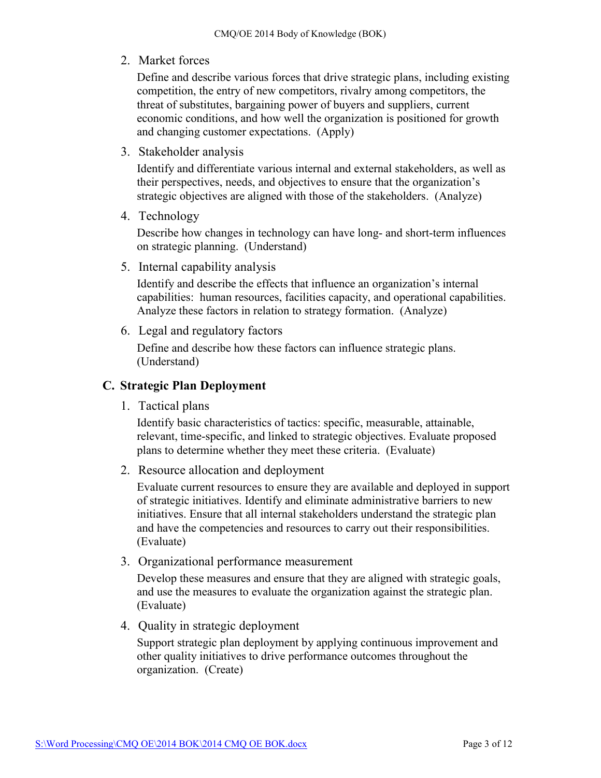2. Market forces

Define and describe various forces that drive strategic plans, including existing competition, the entry of new competitors, rivalry among competitors, the threat of substitutes, bargaining power of buyers and suppliers, current economic conditions, and how well the organization is positioned for growth and changing customer expectations. (Apply)

3. Stakeholder analysis

Identify and differentiate various internal and external stakeholders, as well as their perspectives, needs, and objectives to ensure that the organization's strategic objectives are aligned with those of the stakeholders. (Analyze)

4. Technology

Describe how changes in technology can have long- and short-term influences on strategic planning. (Understand)

5. Internal capability analysis

Identify and describe the effects that influence an organization's internal capabilities: human resources, facilities capacity, and operational capabilities. Analyze these factors in relation to strategy formation. (Analyze)

6. Legal and regulatory factors

Define and describe how these factors can influence strategic plans. (Understand)

### **C. Strategic Plan Deployment**

1. Tactical plans

Identify basic characteristics of tactics: specific, measurable, attainable, relevant, time-specific, and linked to strategic objectives. Evaluate proposed plans to determine whether they meet these criteria. (Evaluate)

2. Resource allocation and deployment

Evaluate current resources to ensure they are available and deployed in support of strategic initiatives. Identify and eliminate administrative barriers to new initiatives. Ensure that all internal stakeholders understand the strategic plan and have the competencies and resources to carry out their responsibilities. (Evaluate)

3. Organizational performance measurement

Develop these measures and ensure that they are aligned with strategic goals, and use the measures to evaluate the organization against the strategic plan. (Evaluate)

4. Quality in strategic deployment

Support strategic plan deployment by applying continuous improvement and other quality initiatives to drive performance outcomes throughout the organization. (Create)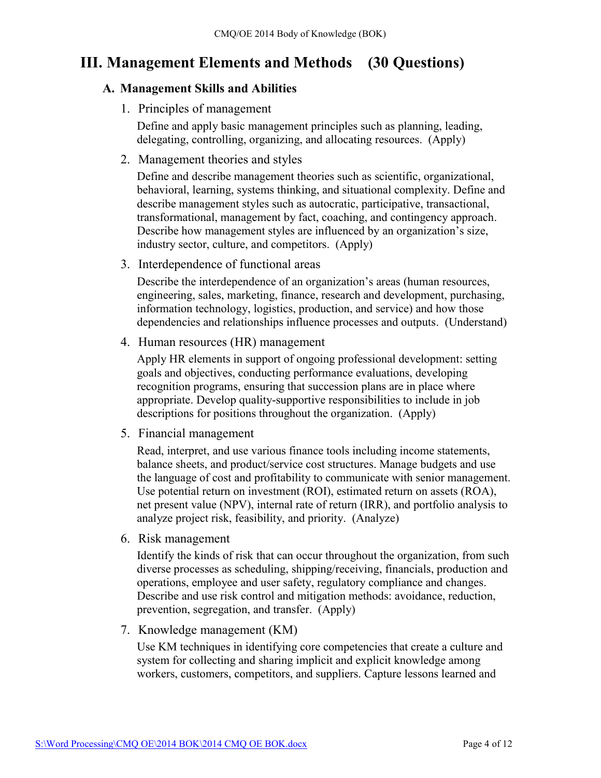# **III. Management Elements and Methods (30 Questions)**

### **A. Management Skills and Abilities**

1. Principles of management

Define and apply basic management principles such as planning, leading, delegating, controlling, organizing, and allocating resources. (Apply)

2. Management theories and styles

Define and describe management theories such as scientific, organizational, behavioral, learning, systems thinking, and situational complexity. Define and describe management styles such as autocratic, participative, transactional, transformational, management by fact, coaching, and contingency approach. Describe how management styles are influenced by an organization's size, industry sector, culture, and competitors. (Apply)

3. Interdependence of functional areas

Describe the interdependence of an organization's areas (human resources, engineering, sales, marketing, finance, research and development, purchasing, information technology, logistics, production, and service) and how those dependencies and relationships influence processes and outputs. (Understand)

4. Human resources (HR) management

Apply HR elements in support of ongoing professional development: setting goals and objectives, conducting performance evaluations, developing recognition programs, ensuring that succession plans are in place where appropriate. Develop quality-supportive responsibilities to include in job descriptions for positions throughout the organization. (Apply)

5. Financial management

Read, interpret, and use various finance tools including income statements, balance sheets, and product/service cost structures. Manage budgets and use the language of cost and profitability to communicate with senior management. Use potential return on investment (ROI), estimated return on assets (ROA), net present value (NPV), internal rate of return (IRR), and portfolio analysis to analyze project risk, feasibility, and priority. (Analyze)

6. Risk management

Identify the kinds of risk that can occur throughout the organization, from such diverse processes as scheduling, shipping/receiving, financials, production and operations, employee and user safety, regulatory compliance and changes. Describe and use risk control and mitigation methods: avoidance, reduction, prevention, segregation, and transfer. (Apply)

7. Knowledge management (KM)

Use KM techniques in identifying core competencies that create a culture and system for collecting and sharing implicit and explicit knowledge among workers, customers, competitors, and suppliers. Capture lessons learned and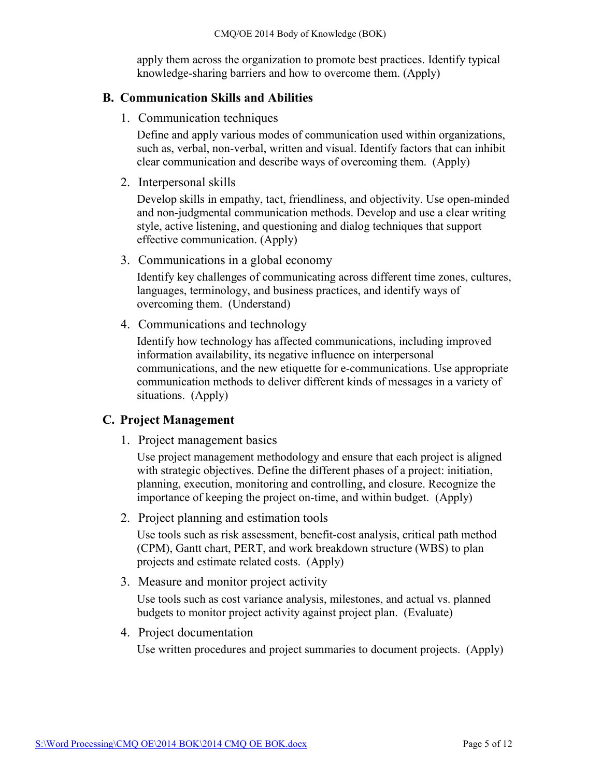apply them across the organization to promote best practices. Identify typical knowledge-sharing barriers and how to overcome them. (Apply)

#### **B. Communication Skills and Abilities**

1. Communication techniques

Define and apply various modes of communication used within organizations, such as, verbal, non-verbal, written and visual. Identify factors that can inhibit clear communication and describe ways of overcoming them. (Apply)

2. Interpersonal skills

Develop skills in empathy, tact, friendliness, and objectivity. Use open-minded and non-judgmental communication methods. Develop and use a clear writing style, active listening, and questioning and dialog techniques that support effective communication. (Apply)

3. Communications in a global economy

Identify key challenges of communicating across different time zones, cultures, languages, terminology, and business practices, and identify ways of overcoming them. (Understand)

4. Communications and technology

Identify how technology has affected communications, including improved information availability, its negative influence on interpersonal communications, and the new etiquette for e-communications. Use appropriate communication methods to deliver different kinds of messages in a variety of situations. (Apply)

### **C. Project Management**

1. Project management basics

Use project management methodology and ensure that each project is aligned with strategic objectives. Define the different phases of a project: initiation, planning, execution, monitoring and controlling, and closure. Recognize the importance of keeping the project on-time, and within budget. (Apply)

2. Project planning and estimation tools

Use tools such as risk assessment, benefit-cost analysis, critical path method (CPM), Gantt chart, PERT, and work breakdown structure (WBS) to plan projects and estimate related costs. (Apply)

3. Measure and monitor project activity

Use tools such as cost variance analysis, milestones, and actual vs. planned budgets to monitor project activity against project plan. (Evaluate)

4. Project documentation

Use written procedures and project summaries to document projects. (Apply)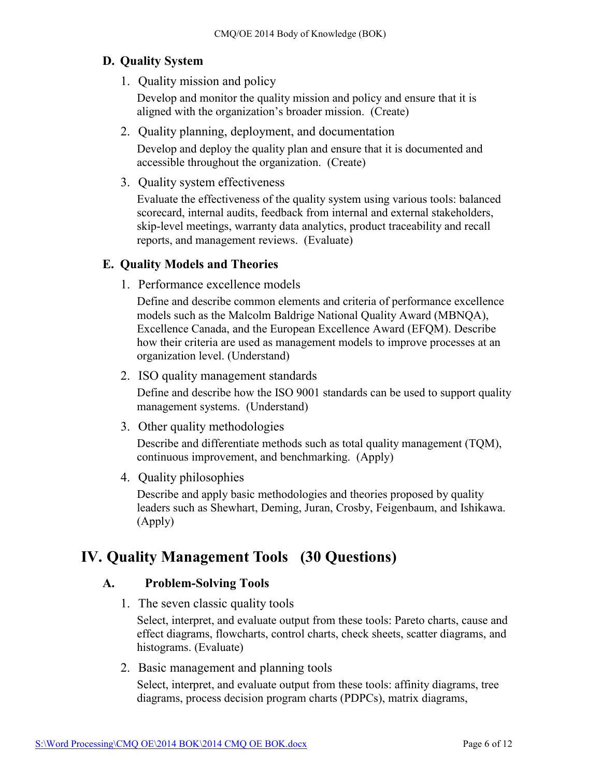## **D. Quality System**

1. Quality mission and policy

Develop and monitor the quality mission and policy and ensure that it is aligned with the organization's broader mission. (Create)

2. Quality planning, deployment, and documentation

Develop and deploy the quality plan and ensure that it is documented and accessible throughout the organization. (Create)

3. Quality system effectiveness

Evaluate the effectiveness of the quality system using various tools: balanced scorecard, internal audits, feedback from internal and external stakeholders, skip-level meetings, warranty data analytics, product traceability and recall reports, and management reviews. (Evaluate)

## **E. Quality Models and Theories**

1. Performance excellence models

Define and describe common elements and criteria of performance excellence models such as the Malcolm Baldrige National Quality Award (MBNQA), Excellence Canada, and the European Excellence Award (EFQM). Describe how their criteria are used as management models to improve processes at an organization level. (Understand)

2. ISO quality management standards

Define and describe how the ISO 9001 standards can be used to support quality management systems. (Understand)

3. Other quality methodologies

Describe and differentiate methods such as total quality management (TQM), continuous improvement, and benchmarking. (Apply)

4. Quality philosophies

Describe and apply basic methodologies and theories proposed by quality leaders such as Shewhart, Deming, Juran, Crosby, Feigenbaum, and Ishikawa. (Apply)

# **IV. Quality Management Tools (30 Questions)**

## **A. Problem-Solving Tools**

1. The seven classic quality tools

Select, interpret, and evaluate output from these tools: Pareto charts, cause and effect diagrams, flowcharts, control charts, check sheets, scatter diagrams, and histograms. (Evaluate)

2. Basic management and planning tools

Select, interpret, and evaluate output from these tools: affinity diagrams, tree diagrams, process decision program charts (PDPCs), matrix diagrams,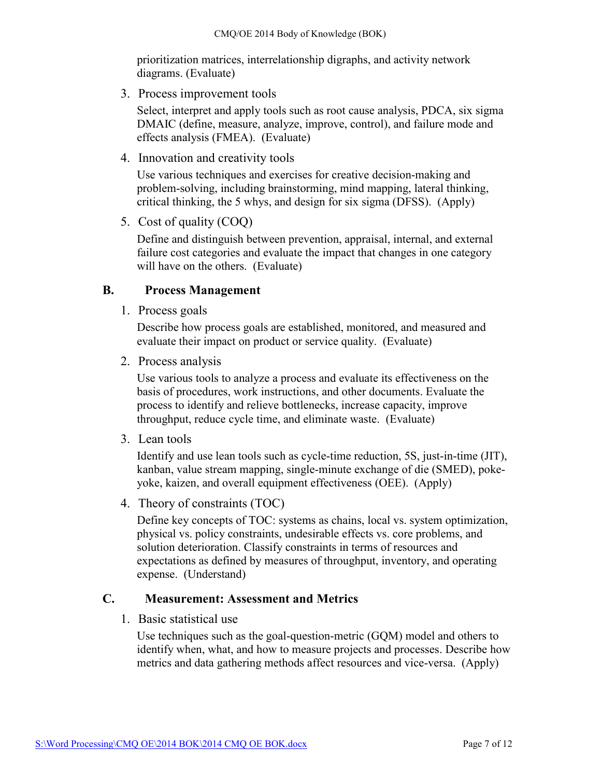prioritization matrices, interrelationship digraphs, and activity network diagrams. (Evaluate)

3. Process improvement tools

Select, interpret and apply tools such as root cause analysis, PDCA, six sigma DMAIC (define, measure, analyze, improve, control), and failure mode and effects analysis (FMEA). (Evaluate)

4. Innovation and creativity tools

Use various techniques and exercises for creative decision-making and problem-solving, including brainstorming, mind mapping, lateral thinking, critical thinking, the 5 whys, and design for six sigma (DFSS). (Apply)

5. Cost of quality (COQ)

Define and distinguish between prevention, appraisal, internal, and external failure cost categories and evaluate the impact that changes in one category will have on the others. (Evaluate)

## **B. Process Management**

1. Process goals

Describe how process goals are established, monitored, and measured and evaluate their impact on product or service quality. (Evaluate)

2. Process analysis

Use various tools to analyze a process and evaluate its effectiveness on the basis of procedures, work instructions, and other documents. Evaluate the process to identify and relieve bottlenecks, increase capacity, improve throughput, reduce cycle time, and eliminate waste. (Evaluate)

3. Lean tools

Identify and use lean tools such as cycle-time reduction, 5S, just-in-time (JIT), kanban, value stream mapping, single-minute exchange of die (SMED), pokeyoke, kaizen, and overall equipment effectiveness (OEE). (Apply)

4. Theory of constraints (TOC)

Define key concepts of TOC: systems as chains, local vs. system optimization, physical vs. policy constraints, undesirable effects vs. core problems, and solution deterioration. Classify constraints in terms of resources and expectations as defined by measures of throughput, inventory, and operating expense. (Understand)

## **C. Measurement: Assessment and Metrics**

1. Basic statistical use

Use techniques such as the goal-question-metric (GQM) model and others to identify when, what, and how to measure projects and processes. Describe how metrics and data gathering methods affect resources and vice-versa. (Apply)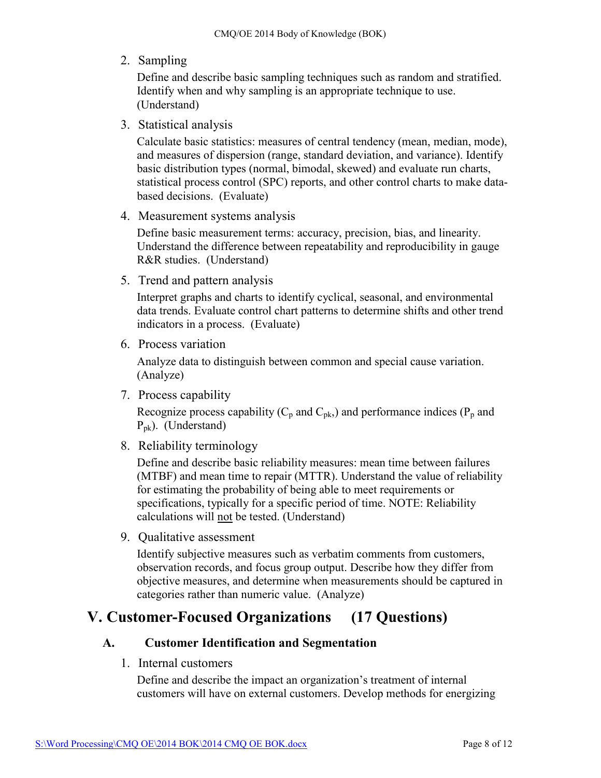2. Sampling

Define and describe basic sampling techniques such as random and stratified. Identify when and why sampling is an appropriate technique to use. (Understand)

3. Statistical analysis

Calculate basic statistics: measures of central tendency (mean, median, mode), and measures of dispersion (range, standard deviation, and variance). Identify basic distribution types (normal, bimodal, skewed) and evaluate run charts, statistical process control (SPC) reports, and other control charts to make databased decisions. (Evaluate)

4. Measurement systems analysis

Define basic measurement terms: accuracy, precision, bias, and linearity. Understand the difference between repeatability and reproducibility in gauge R&R studies. (Understand)

5. Trend and pattern analysis

Interpret graphs and charts to identify cyclical, seasonal, and environmental data trends. Evaluate control chart patterns to determine shifts and other trend indicators in a process. (Evaluate)

6. Process variation

Analyze data to distinguish between common and special cause variation. (Analyze)

7. Process capability

Recognize process capability ( $C_p$  and  $C_{pk}$ ) and performance indices ( $P_p$  and  $P_{pk}$ ). (Understand)

8. Reliability terminology

Define and describe basic reliability measures: mean time between failures (MTBF) and mean time to repair (MTTR). Understand the value of reliability for estimating the probability of being able to meet requirements or specifications, typically for a specific period of time. NOTE: Reliability calculations will not be tested. (Understand)

9. Qualitative assessment

Identify subjective measures such as verbatim comments from customers, observation records, and focus group output. Describe how they differ from objective measures, and determine when measurements should be captured in categories rather than numeric value. (Analyze)

# **V. Customer-Focused Organizations (17 Questions)**

### **A. Customer Identification and Segmentation**

1. Internal customers

Define and describe the impact an organization's treatment of internal customers will have on external customers. Develop methods for energizing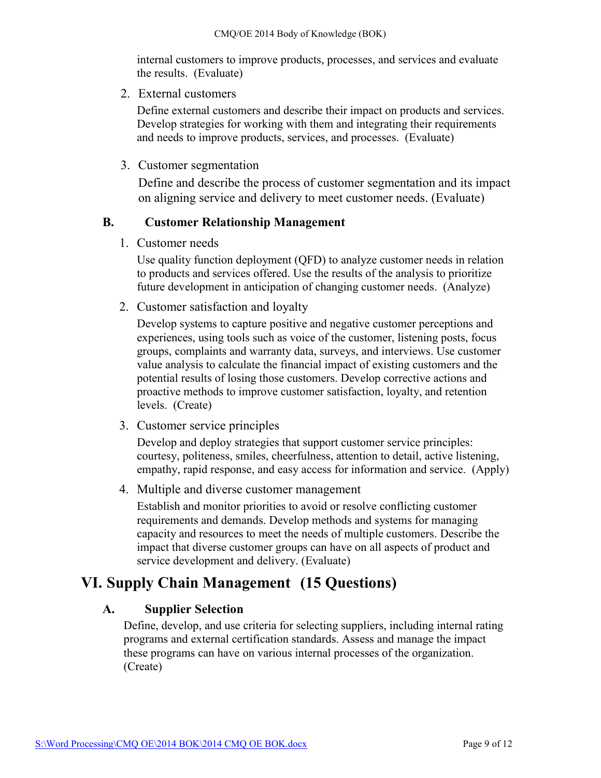internal customers to improve products, processes, and services and evaluate the results. (Evaluate)

2. External customers

Define external customers and describe their impact on products and services. Develop strategies for working with them and integrating their requirements and needs to improve products, services, and processes. (Evaluate)

3. Customer segmentation

Define and describe the process of customer segmentation and its impact on aligning service and delivery to meet customer needs. (Evaluate)

### **B. Customer Relationship Management**

1. Customer needs

Use quality function deployment (QFD) to analyze customer needs in relation to products and services offered. Use the results of the analysis to prioritize future development in anticipation of changing customer needs. (Analyze)

2. Customer satisfaction and loyalty

Develop systems to capture positive and negative customer perceptions and experiences, using tools such as voice of the customer, listening posts, focus groups, complaints and warranty data, surveys, and interviews. Use customer value analysis to calculate the financial impact of existing customers and the potential results of losing those customers. Develop corrective actions and proactive methods to improve customer satisfaction, loyalty, and retention levels. (Create)

3. Customer service principles

Develop and deploy strategies that support customer service principles: courtesy, politeness, smiles, cheerfulness, attention to detail, active listening, empathy, rapid response, and easy access for information and service. (Apply)

4. Multiple and diverse customer management

Establish and monitor priorities to avoid or resolve conflicting customer requirements and demands. Develop methods and systems for managing capacity and resources to meet the needs of multiple customers. Describe the impact that diverse customer groups can have on all aspects of product and service development and delivery. (Evaluate)

# **VI. Supply Chain Management (15 Questions)**

## **A. Supplier Selection**

Define, develop, and use criteria for selecting suppliers, including internal rating programs and external certification standards. Assess and manage the impact these programs can have on various internal processes of the organization. (Create)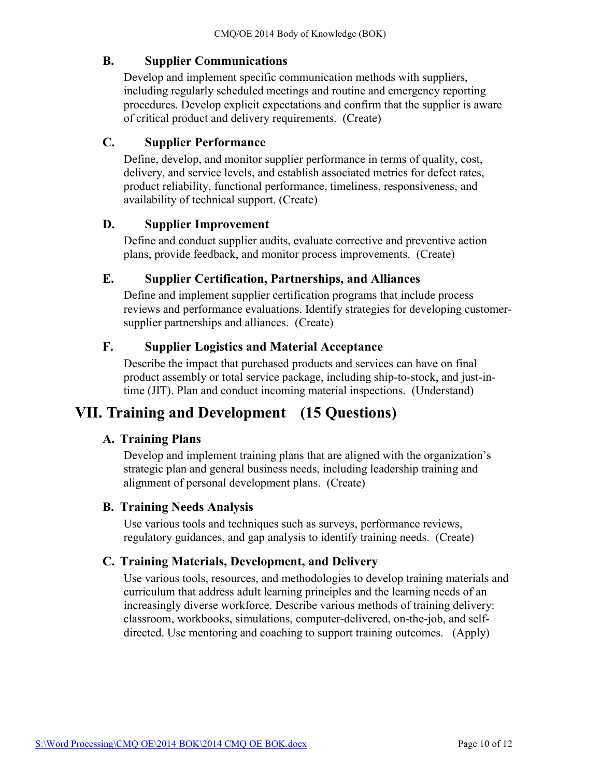### **B. Supplier Communications**

Develop and implement specific communication methods with suppliers, including regularly scheduled meetings and routine and emergency reporting procedures. Develop explicit expectations and confirm that the supplier is aware of critical product and delivery requirements. (Create)

### **C. Supplier Performance**

Define, develop, and monitor supplier performance in terms of quality, cost, delivery, and service levels, and establish associated metrics for defect rates, product reliability, functional performance, timeliness, responsiveness, and availability of technical support. (Create)

### **D. Supplier Improvement**

Define and conduct supplier audits, evaluate corrective and preventive action plans, provide feedback, and monitor process improvements. (Create)

### **E. Supplier Certification, Partnerships, and Alliances**

Define and implement supplier certification programs that include process reviews and performance evaluations. Identify strategies for developing customersupplier partnerships and alliances. (Create)

### **F. Supplier Logistics and Material Acceptance**

Describe the impact that purchased products and services can have on final product assembly or total service package, including ship-to-stock, and just-intime (JIT). Plan and conduct incoming material inspections. (Understand)

# **VII. Training and Development (15 Questions)**

### **A. Training Plans**

Develop and implement training plans that are aligned with the organization's strategic plan and general business needs, including leadership training and alignment of personal development plans. (Create)

### **B. Training Needs Analysis**

Use various tools and techniques such as surveys, performance reviews, regulatory guidances, and gap analysis to identify training needs. (Create)

### **C. Training Materials, Development, and Delivery**

Use various tools, resources, and methodologies to develop training materials and curriculum that address adult learning principles and the learning needs of an increasingly diverse workforce. Describe various methods of training delivery: classroom, workbooks, simulations, computer-delivered, on-the-job, and selfdirected. Use mentoring and coaching to support training outcomes. (Apply)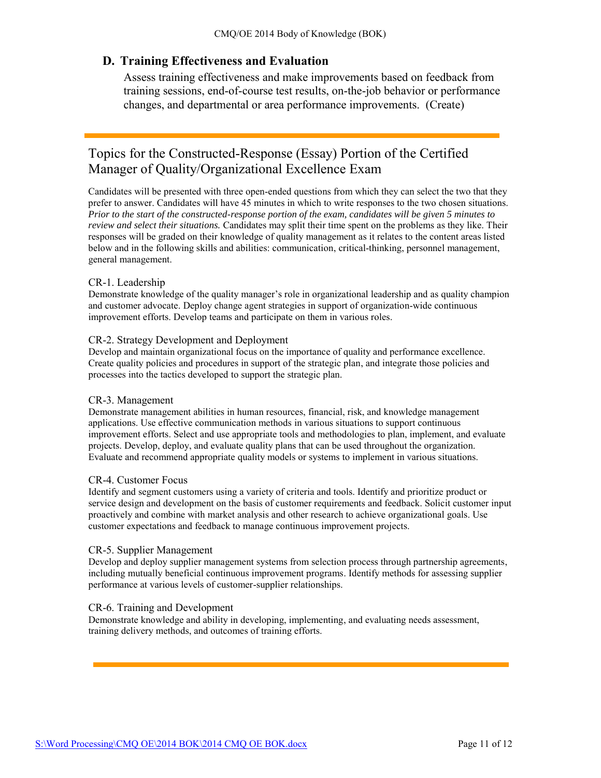#### **D. Training Effectiveness and Evaluation**

Assess training effectiveness and make improvements based on feedback from training sessions, end-of-course test results, on-the-job behavior or performance changes, and departmental or area performance improvements. (Create)

# Topics for the Constructed-Response (Essay) Portion of the Certified Manager of Quality/Organizational Excellence Exam

Candidates will be presented with three open-ended questions from which they can select the two that they prefer to answer. Candidates will have 45 minutes in which to write responses to the two chosen situations. *Prior to the start of the constructed-response portion of the exam, candidates will be given 5 minutes to review and select their situations.* Candidates may split their time spent on the problems as they like. Their responses will be graded on their knowledge of quality management as it relates to the content areas listed below and in the following skills and abilities: communication, critical-thinking, personnel management, general management.

#### CR-1. Leadership

Demonstrate knowledge of the quality manager's role in organizational leadership and as quality champion and customer advocate. Deploy change agent strategies in support of organization-wide continuous improvement efforts. Develop teams and participate on them in various roles.

#### CR-2. Strategy Development and Deployment

Develop and maintain organizational focus on the importance of quality and performance excellence. Create quality policies and procedures in support of the strategic plan, and integrate those policies and processes into the tactics developed to support the strategic plan.

#### CR-3. Management

Demonstrate management abilities in human resources, financial, risk, and knowledge management applications. Use effective communication methods in various situations to support continuous improvement efforts. Select and use appropriate tools and methodologies to plan, implement, and evaluate projects. Develop, deploy, and evaluate quality plans that can be used throughout the organization. Evaluate and recommend appropriate quality models or systems to implement in various situations.

#### CR-4. Customer Focus

Identify and segment customers using a variety of criteria and tools. Identify and prioritize product or service design and development on the basis of customer requirements and feedback. Solicit customer input proactively and combine with market analysis and other research to achieve organizational goals. Use customer expectations and feedback to manage continuous improvement projects.

#### CR-5. Supplier Management

Develop and deploy supplier management systems from selection process through partnership agreements, including mutually beneficial continuous improvement programs. Identify methods for assessing supplier performance at various levels of customer-supplier relationships.

#### CR-6. Training and Development

Demonstrate knowledge and ability in developing, implementing, and evaluating needs assessment, training delivery methods, and outcomes of training efforts.